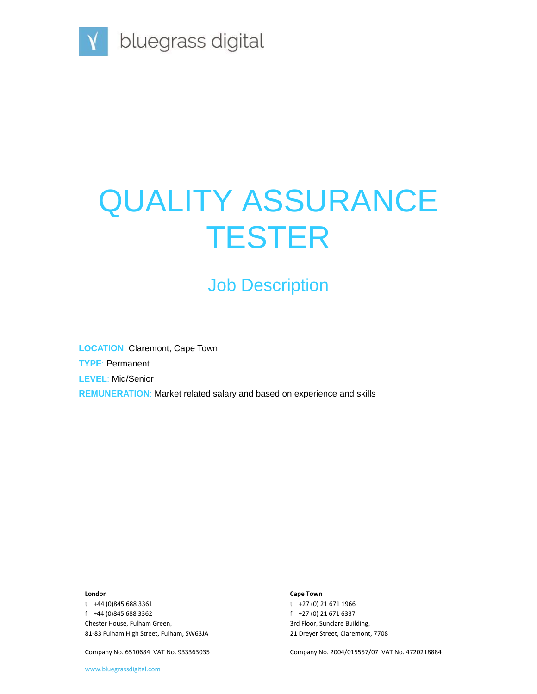

# QUALITY ASSURANCE **TESTER**

# Job Description

**LOCATION**: Claremont, Cape Town **TYPE**: Permanent **LEVEL**: Mid/Senior **REMUNERATION**: Market related salary and based on experience and skills

#### **London**

t +44 (0)845 688 3361 f +44 (0)845 688 3362 Chester House, Fulham Green, 81-83 Fulham High Street, Fulham, SW63JA

Company No. 6510684 VAT No. 933363035

#### **Cape Town**

t +27 (0) 21 671 1966 f +27 (0) 21 671 6337 3rd Floor, Sunclare Building, 21 Dreyer Street, Claremont, 7708

Company No. 2004/015557/07 VAT No. 4720218884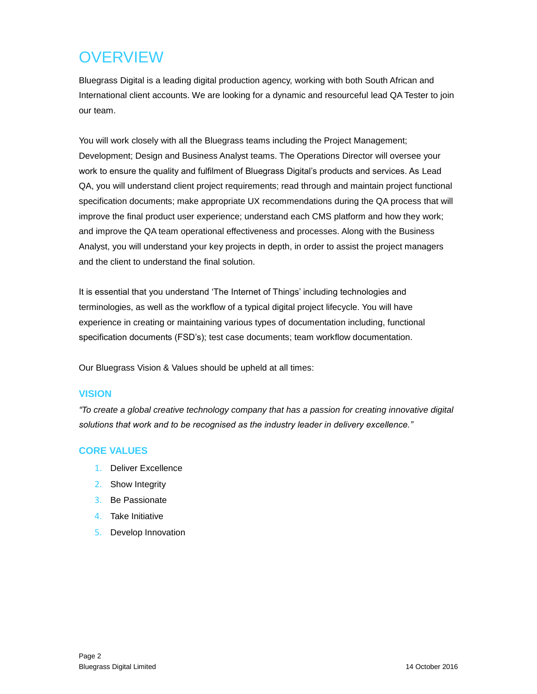## **OVERVIEW**

Bluegrass Digital is a leading digital production agency, working with both South African and International client accounts. We are looking for a dynamic and resourceful lead QA Tester to join our team.

You will work closely with all the Bluegrass teams including the Project Management; Development; Design and Business Analyst teams. The Operations Director will oversee your work to ensure the quality and fulfilment of Bluegrass Digital's products and services. As Lead QA, you will understand client project requirements; read through and maintain project functional specification documents; make appropriate UX recommendations during the QA process that will improve the final product user experience; understand each CMS platform and how they work; and improve the QA team operational effectiveness and processes. Along with the Business Analyst, you will understand your key projects in depth, in order to assist the project managers and the client to understand the final solution.

It is essential that you understand 'The Internet of Things' including technologies and terminologies, as well as the workflow of a typical digital project lifecycle. You will have experience in creating or maintaining various types of documentation including, functional specification documents (FSD's); test case documents; team workflow documentation.

Our Bluegrass Vision & Values should be upheld at all times:

#### **VISION**

*"To create a global creative technology company that has a passion for creating innovative digital solutions that work and to be recognised as the industry leader in delivery excellence."*

#### **CORE VALUES**

- 1. Deliver Excellence
- 2. Show Integrity
- 3. Be Passionate
- 4. Take Initiative
- 5. Develop Innovation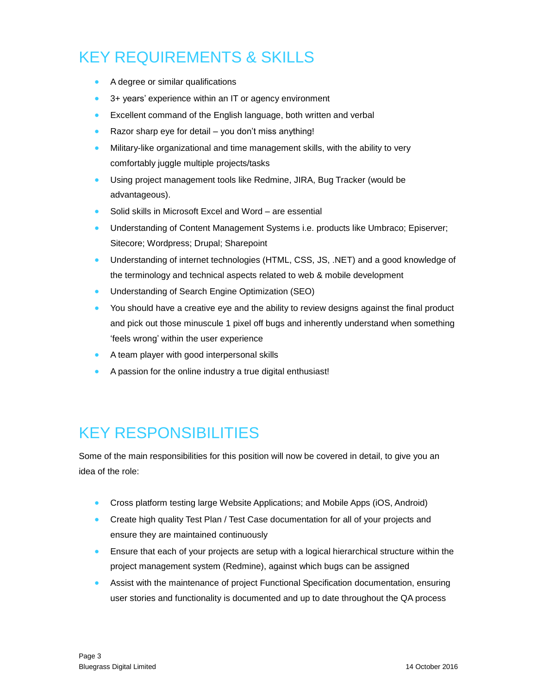### KEY REQUIREMENTS & SKILLS

- A degree or similar qualifications
- 3+ years' experience within an IT or agency environment
- **Excellent command of the English language, both written and verbal**
- Razor sharp eye for detail you don't miss anything!
- Military-like organizational and time management skills, with the ability to very comfortably juggle multiple projects/tasks
- Using project management tools like Redmine, JIRA, Bug Tracker (would be advantageous).
- Solid skills in Microsoft Excel and Word are essential
- Understanding of Content Management Systems i.e. products like Umbraco; Episerver; Sitecore; Wordpress; Drupal; Sharepoint
- Understanding of internet technologies (HTML, CSS, JS, .NET) and a good knowledge of the terminology and technical aspects related to web & mobile development
- **•** Understanding of Search Engine Optimization (SEO)
- You should have a creative eye and the ability to review designs against the final product and pick out those minuscule 1 pixel off bugs and inherently understand when something 'feels wrong' within the user experience
- A team player with good interpersonal skills
- A passion for the online industry a true digital enthusiast!

### KEY RESPONSIBILITIES

Some of the main responsibilities for this position will now be covered in detail, to give you an idea of the role:

- Cross platform testing large Website Applications; and Mobile Apps (iOS, Android)
- Create high quality Test Plan / Test Case documentation for all of your projects and ensure they are maintained continuously
- **Ensure that each of your projects are setup with a logical hierarchical structure within the** project management system (Redmine), against which bugs can be assigned
- Assist with the maintenance of project Functional Specification documentation, ensuring user stories and functionality is documented and up to date throughout the QA process